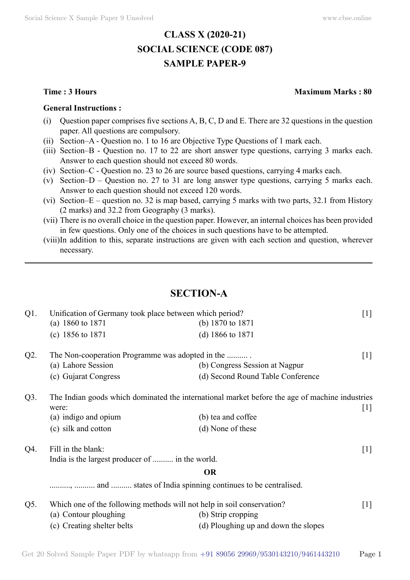# **CLASS X (2020-21) SOCIAL SCIENCE (CODE 087) SAMPLE PAPER-9**

#### **General Instructions :**

- (i) Question paper comprises five sections  $A, B, C, D$  and E. There are 32 questions in the question paper. All questions are compulsory.
- (ii) Section–A Question no. 1 to 16 are Objective Type Questions of 1 mark each.
- (iii) Section–B Question no. 17 to 22 are short answer type questions, carrying 3 marks each. Answer to each question should not exceed 80 words.
- (iv) Section–C Question no. 23 to 26 are source based questions, carrying 4 marks each.
- (v) Section–D Question no. 27 to 31 are long answer type questions, carrying 5 marks each. Answer to each question should not exceed 120 words.
- (vi) Section–E question no. 32 is map based, carrying 5 marks with two parts, 32.1 from History (2 marks) and 32.2 from Geography (3 marks).
- (vii) There is no overall choice in the question paper. However, an internal choices has been provided in few questions. Only one of the choices in such questions have to be attempted.
- (viii)In addition to this, separate instructions are given with each section and question, wherever necessary.

# **Section-A**

| $Q1$ . | Unification of Germany took place between which period?                                                 |                                                               | $[1]$               |
|--------|---------------------------------------------------------------------------------------------------------|---------------------------------------------------------------|---------------------|
|        | (a) $1860$ to $1871$                                                                                    | (b) $1870$ to $1871$                                          |                     |
|        | (c) $1856$ to $1871$                                                                                    | (d) 1866 to 1871                                              |                     |
| Q2.    | The Non-cooperation Programme was adopted in the                                                        |                                                               | $[1]$               |
|        | (a) Lahore Session                                                                                      | (b) Congress Session at Nagpur                                |                     |
|        | (c) Gujarat Congress                                                                                    | (d) Second Round Table Conference                             |                     |
| Q3.    | The Indian goods which dominated the international market before the age of machine industries<br>were: |                                                               | $\lfloor 1 \rfloor$ |
|        | (a) indigo and opium                                                                                    | (b) tea and coffee                                            |                     |
|        | (c) silk and cotton                                                                                     | (d) None of these                                             |                     |
| Q4.    | Fill in the blank:                                                                                      |                                                               | $[1]$               |
|        | India is the largest producer of  in the world.                                                         |                                                               |                     |
|        |                                                                                                         | <b>OR</b>                                                     |                     |
|        |                                                                                                         | ,  and  states of India spinning continues to be centralised. |                     |
| Q5.    | Which one of the following methods will not help in soil conservation?<br>(a) Contour ploughing         | (b) Strip cropping                                            | $[1]$               |
|        | (c) Creating shelter belts                                                                              | (d) Ploughing up and down the slopes                          |                     |
|        |                                                                                                         |                                                               |                     |

## **Time : 3 Hours Maximum Marks : 80**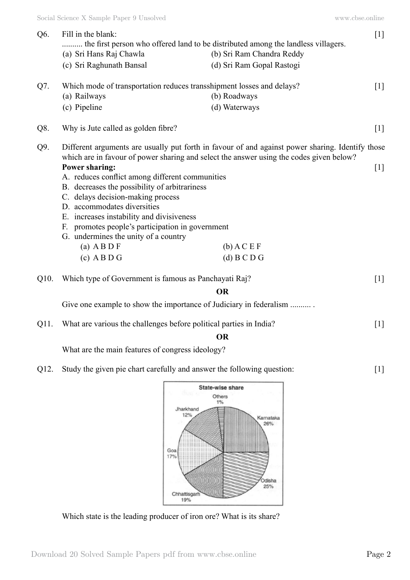| Q6.       | Fill in the blank:<br>the first person who offered land to be distributed among the landless villagers.<br>(a) Sri Hans Raj Chawla<br>(c) Sri Raghunath Bansal                                                                                                                                                                                                                                                                                                                                                                                                                                         | (b) Sri Ram Chandra Reddy<br>(d) Sri Ram Gopal Rastogi | $[1]$ |  |
|-----------|--------------------------------------------------------------------------------------------------------------------------------------------------------------------------------------------------------------------------------------------------------------------------------------------------------------------------------------------------------------------------------------------------------------------------------------------------------------------------------------------------------------------------------------------------------------------------------------------------------|--------------------------------------------------------|-------|--|
| Q7.       | Which mode of transportation reduces transshipment losses and delays?<br>(a) Railways<br>(c) Pipeline                                                                                                                                                                                                                                                                                                                                                                                                                                                                                                  | (b) Roadways<br>(d) Waterways                          | $[1]$ |  |
| Q8.       | Why is Jute called as golden fibre?                                                                                                                                                                                                                                                                                                                                                                                                                                                                                                                                                                    |                                                        | $[1]$ |  |
| Q9.       | Different arguments are usually put forth in favour of and against power sharing. Identify those<br>which are in favour of power sharing and select the answer using the codes given below?<br><b>Power sharing:</b><br>A. reduces conflict among different communities<br>B. decreases the possibility of arbitrariness<br>C. delays decision-making process<br>D. accommodates diversities<br>E. increases instability and divisiveness<br>promotes people's participation in government<br>F.<br>G. undermines the unity of a country<br>$(b)$ A C E F<br>$(a)$ ABDF<br>$(d)$ B C D G<br>$(c)$ ABDG |                                                        | $[1]$ |  |
| Q10.      | Which type of Government is famous as Panchayati Raj?                                                                                                                                                                                                                                                                                                                                                                                                                                                                                                                                                  |                                                        | $[1]$ |  |
| <b>OR</b> |                                                                                                                                                                                                                                                                                                                                                                                                                                                                                                                                                                                                        |                                                        |       |  |
|           | Give one example to show the importance of Judiciary in federalism                                                                                                                                                                                                                                                                                                                                                                                                                                                                                                                                     |                                                        |       |  |
| Q11.      | What are various the challenges before political parties in India?                                                                                                                                                                                                                                                                                                                                                                                                                                                                                                                                     |                                                        | $[1]$ |  |

 **O**

What are the main features of congress ideology?

Q12. Study the given pie chart carefully and answer the following question: [1]



Which state is the leading producer of iron ore? What is its share?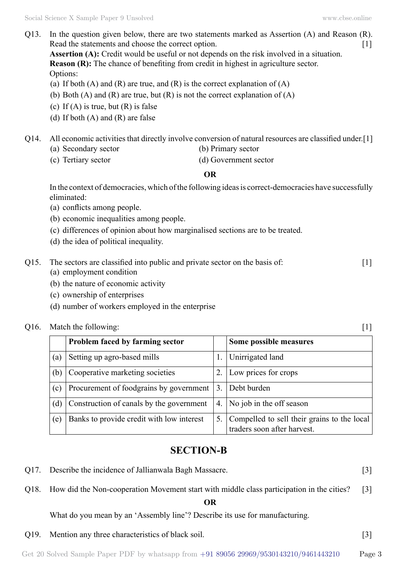- Q13. In the question given below, there are two statements marked as Assertion (A) and Reason (R). Read the statements and choose the correct option. [1] **Assertion (A):** Credit would be useful or not depends on the risk involved in a situation. **Reason (R):** The chance of benefiting from credit in highest in agriculture sector. Options:
	- (a) If both (A) and (R) are true, and (R) is the correct explanation of (A)
	- (b) Both (A) and (R) are true, but (R) is not the correct explanation of (A)
	- (c) If  $(A)$  is true, but  $(R)$  is false
	- (d) If both  $(A)$  and  $(R)$  are false

Q14. All economic activities that directly involve conversion of natural resources are classified under.[1]

- (a) Secondary sector (b) Primary sector
- (c) Tertiary sector (d) Government sector

## **O**

In the context of democracies, which of the following ideas is correct-democracies have successfully eliminated:

- (a) conflicts among people.
- (b) economic inequalities among people.
- (c) differences of opinion about how marginalised sections are to be treated.
- (d) the idea of political inequality.
- Q15. The sectors are classified into public and private sector on the basis of: [1]
	- (a) employment condition
	- (b) the nature of economic activity
	- (c) ownership of enterprises
	- (d) number of workers employed in the enterprise

## Q16. Match the following: [1]

**Problem faced by farming sector Some possible measures** (a) Setting up agro-based mills  $|1.|$  Unirrigated land (b) Cooperative marketing societies  $|2.|$  Low prices for crops (c) Procurement of foodgrains by government  $\vert 3 \vert$ . Debt burden (d) Construction of canals by the government  $\vert 4$ . No job in the off season (e) Banks to provide credit with low interest  $\begin{bmatrix} 5 \end{bmatrix}$  Compelled to sell their grains to the local traders soon after harvest.

# **Section-B**

- Q17. Describe the incidence of Jallianwala Bagh Massacre. [3]
- Q18. How did the Non-cooperation Movement start with middle class participation in the cities? [3]

 **O**

What do you mean by an 'Assembly line'? Describe its use for manufacturing.

Q19. Mention any three characteristics of black soil. [3]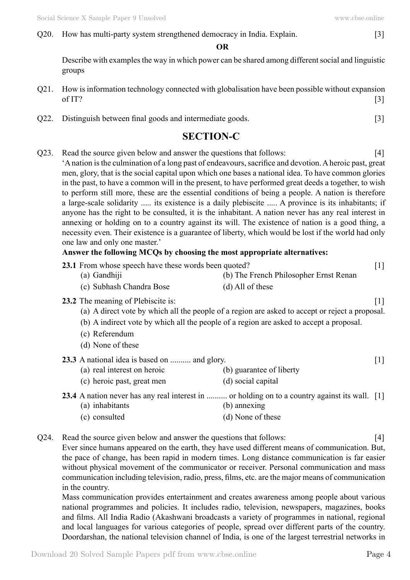Q20. How has multi-party system strengthened democracy in India. Explain. [3]

 **O**

Describe with examples the way in which power can be shared among different social and linguistic groups

- Q21. How is information technology connected with globalisation have been possible without expansion of IT?  $[3]$
- Q22. Distinguish between final goods and intermediate goods. [3]

# **Section-C**

Q23. Read the source given below and answer the questions that follows: [4] 'A nation is the culmination of a long past of endeavours, sacrifice and devotion. A heroic past, great men, glory, that is the social capital upon which one bases a national idea. To have common glories in the past, to have a common will in the present, to have performed great deeds a together, to wish to perform still more, these are the essential conditions of being a people. A nation is therefore a large-scale solidarity ..... its existence is a daily plebiscite ..... A province is its inhabitants; if anyone has the right to be consulted, it is the inhabitant. A nation never has any real interest in annexing or holding on to a country against its will. The existence of nation is a good thing, a necessity even. Their existence is a guarantee of liberty, which would be lost if the world had only one law and only one master.'

## **Answer the following MCQs by choosing the most appropriate alternatives:**

- **23.1** From whose speech have these words been quoted? [1] (a) Gandhiji (b) The French Philosopher Ernst Renan (c) Subhash Chandra Bose (d) All of these **23.2** The meaning of Plebiscite is:  $\begin{bmatrix} 1 \end{bmatrix}$ 
	- (a) A direct vote by which all the people of a region are asked to accept or reject a proposal.
	- (b) A indirect vote by which all the people of a region are asked to accept a proposal.
	- (c) Referendum
	- (d) None of these

| <b>23.3</b> A national idea is based on  and glory. |                          |  |
|-----------------------------------------------------|--------------------------|--|
| (a) real interest on heroic                         | (b) guarantee of liberty |  |
| (c) heroic past, great men                          | (d) social capital       |  |
|                                                     |                          |  |

- **23.4** A nation never has any real interest in .......... or holding on to a country against its wall. [1] (a) inhabitants (b) annexing
	- (c) consulted (d) None of these
- Q24. Read the source given below and answer the questions that follows: [4]

Ever since humans appeared on the earth, they have used different means of communication. But, the pace of change, has been rapid in modern times. Long distance communication is far easier without physical movement of the communicator or receiver. Personal communication and mass communication including television, radio, press, films, etc. are the major means of communication in the country.

Mass communication provides entertainment and creates awareness among people about various national programmes and policies. It includes radio, television, newspapers, magazines, books and films. All India Radio (Akashwani broadcasts a variety of programmes in national, regional and local languages for various categories of people, spread over different parts of the country. Doordarshan, the national television channel of India, is one of the largest terrestrial networks in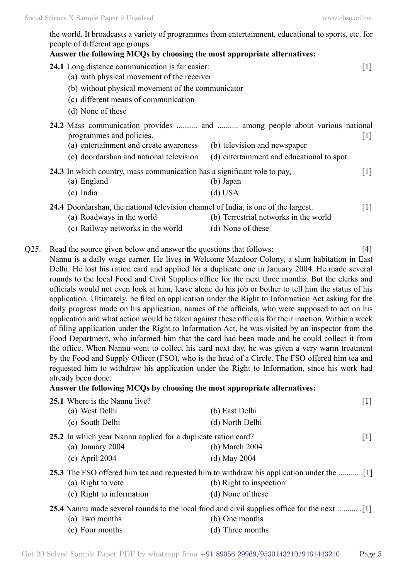the world. It broadcasts a variety of programmes from entertainment, educational to sports, etc. for people of different age groups.

| Answer the following MCQs by choosing the most appropriate alternatives:                                                                                                                                        |                                                                                                                                                                  |  |
|-----------------------------------------------------------------------------------------------------------------------------------------------------------------------------------------------------------------|------------------------------------------------------------------------------------------------------------------------------------------------------------------|--|
| 24.1 Long distance communication is far easier:<br>(a) with physical movement of the receiver<br>(b) without physical movement of the communicator<br>(c) different means of communication<br>(d) None of these | $[1]$                                                                                                                                                            |  |
| programmes and policies.<br>(a) entertainment and create awareness<br>(c) doordarshan and national television                                                                                                   | 24.2 Mass communication provides  and  among people about various national<br>$[1]$<br>(b) television and newspaper<br>(d) entertainment and educational to spot |  |
| 24.3 In which country, mass communication has a significant role to pay,<br>(a) England<br>(c) India                                                                                                            | $[1]$<br>$(b)$ Japan<br>$(d)$ USA                                                                                                                                |  |
| <b>24.4</b> Doordarshan, the national television channel of India, is one of the largest.<br>(a) Roadways in the world<br>(c) Railway networks in the world                                                     | $[1]$<br>(b) Terrestrial networks in the world<br>(d) None of these                                                                                              |  |

Q25. Read the source given below and answer the questions that follows: [4] Nannu is a daily wage earner. He lives in Welcome Mazdoor Colony, a slum habitation in East Delhi. He lost his ration card and applied for a duplicate one in January 2004. He made several rounds to the local Food and Civil Supplies office for the next three months. But the clerks and officials would not even look at him, leave alone do his job or bother to tell him the status of his application. Ultimately, he filed an application under the Right to Information Act asking for the daily progress made on his application, names of the officials, who were supposed to act on his application and what action would be taken against these officials for their inaction. Within a week of filing application under the Right to Information Act, he was visited by an inspector from the Food Department, who informed him that the card had been made and he could collect it from the office. When Nannu went to collect his card next day, he was given a very warm treatment by the Food and Supply Officer (FSO), who is the head of a Circle. The FSO offered him tea and requested him to withdraw his application under the Right to Information, since his work had already been done.

### **Answer the following MCQs by choosing the most appropriate alternatives:**

| 25.1 Where is the Nannu live?                                 |                                                                                              | $[1]$             |
|---------------------------------------------------------------|----------------------------------------------------------------------------------------------|-------------------|
| (a) West Delhi                                                | (b) East Delhi                                                                               |                   |
| (c) South Delhi                                               | (d) North Delhi                                                                              |                   |
| 25.2 In which year Nannu applied for a duplicate ration card? |                                                                                              | $\lceil 1 \rceil$ |
| (a) January 2004                                              | (b) March 2004                                                                               |                   |
| $(c)$ April 2004                                              | (d) May $2004$                                                                               |                   |
|                                                               |                                                                                              |                   |
| (a) Right to vote                                             | (b) Right to inspection                                                                      |                   |
| (c) Right to information                                      | (d) None of these                                                                            |                   |
|                                                               | [1]. 25.4 Nannu made several rounds to the local food and civil supplies office for the next |                   |
| (a) Two months                                                | (b) One months                                                                               |                   |
| (c) Four months                                               | (d) Three months                                                                             |                   |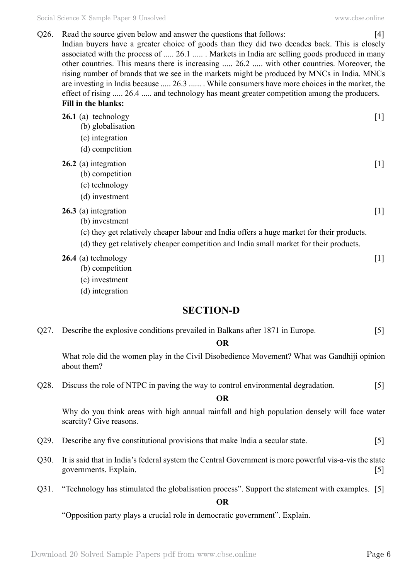Q26. Read the source given below and answer the questions that follows: [4] Indian buyers have a greater choice of goods than they did two decades back. This is closely associated with the process of ..... 26.1 ..... . Markets in India are selling goods produced in many other countries. This means there is increasing ..... 26.2 ..... with other countries. Moreover, the rising number of brands that we see in the markets might be produced by MNCs in India. MNCs are investing in India because ..... 26.3 ...... . While consumers have more choices in the market, the effect of rising ..... 26.4 ..... and technology has meant greater competition among the producers. **Fill in the blanks:**

| <b>26.1</b> (a) technology<br>(b) globalisation<br>(c) integration<br>(d) competition                                                                                                                                         | $[1] % \includegraphics[width=0.9\columnwidth]{figures/fig_10.pdf} \caption{The figure shows the number of times of the estimators in the left and right.} \label{fig:time} %$ |
|-------------------------------------------------------------------------------------------------------------------------------------------------------------------------------------------------------------------------------|--------------------------------------------------------------------------------------------------------------------------------------------------------------------------------|
| 26.2 (a) integration<br>(b) competition<br>(c) technology<br>(d) investment                                                                                                                                                   | $[1]$                                                                                                                                                                          |
| 26.3 (a) integration<br>(b) investment<br>(c) they get relatively cheaper labour and India offers a huge market for their products.<br>(d) they get relatively cheaper competition and India small market for their products. | $[1]$                                                                                                                                                                          |
| <b>26.4</b> (a) technology                                                                                                                                                                                                    |                                                                                                                                                                                |

- (b) competition
	- (c) investment
	- (d) integration

## **Section-D**

Q27. Describe the explosive conditions prevailed in Balkans after 1871 in Europe. [5]

## **O**

What role did the women play in the Civil Disobedience Movement? What was Gandhiji opinion about them?

Q28. Discuss the role of NTPC in paving the way to control environmental degradation. [5]

## **O**

Why do you think areas with high annual rainfall and high population densely will face water scarcity? Give reasons.

- Q29. Describe any five constitutional provisions that make India a secular state. [5]
- Q30. It is said that in India's federal system the Central Government is more powerful vis-a-vis the state governments. Explain. [5]
- Q31. "Technology has stimulated the globalisation process". Support the statement with examples. [5]

#### **O**

"Opposition party plays a crucial role in democratic government". Explain.